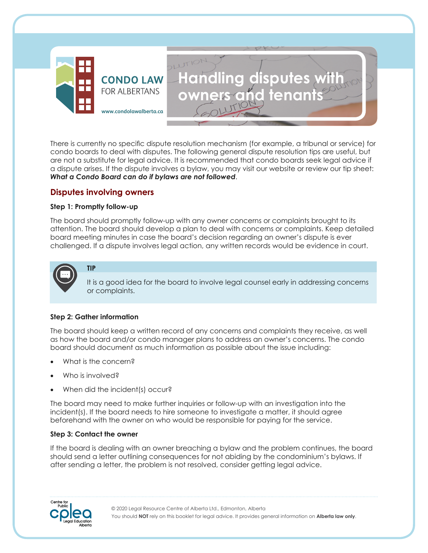

There is currently no specific dispute resolution mechanism (for example, a tribunal or service) for condo boards to deal with disputes. The following general dispute resolution tips are useful, but are not a substitute for legal advice. It is recommended that condo boards seek legal advice if a dispute arises. If the dispute involves a bylaw, you may visit our website or review our tip sheet: *What a Condo Board can do if bylaws are not followed*.

**Handling disputes with** 

**owners and tenants** 

# **Disputes involving owners**

### **Step 1: Promptly follow-up**

The board should promptly follow-up with any owner concerns or complaints brought to its attention. The board should develop a plan to deal with concerns or complaints. Keep detailed board meeting minutes in case the board's decision regarding an owner's dispute is ever challenged. If a dispute involves legal action, any written records would be evidence in court.



It is a good idea for the board to involve legal counsel early in addressing concerns or complaints.

### **Step 2: Gather information**

**TIP**

The board should keep a written record of any concerns and complaints they receive, as well as how the board and/or condo manager plans to address an owner's concerns. The condo board should document as much information as possible about the issue including:

- What is the concern?
- Who is involved?
- When did the incident(s) occur?

The board may need to make further inquiries or follow-up with an investigation into the incident(s). If the board needs to hire someone to investigate a matter, it should agree beforehand with the owner on who would be responsible for paying for the service.

#### **Step 3: Contact the owner**

If the board is dealing with an owner breaching a bylaw and the problem continues, the board should send a letter outlining consequences for not abiding by the condominium's bylaws. If after sending a letter, the problem is not resolved, consider getting legal advice.

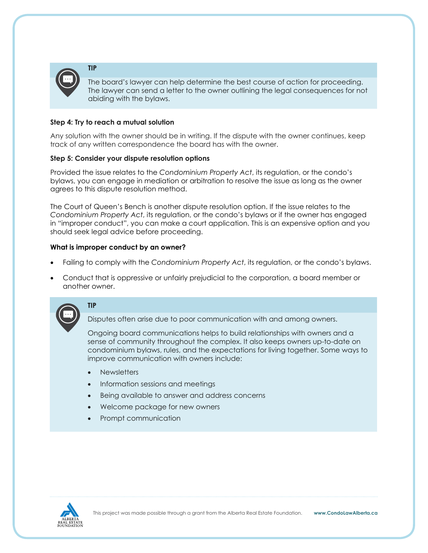

The board's lawyer can help determine the best course of action for proceeding. The lawyer can send a letter to the owner outlining the legal consequences for not abiding with the bylaws.

## **Step 4: Try to reach a mutual solution**

Any solution with the owner should be in writing. If the dispute with the owner continues, keep track of any written correspondence the board has with the owner.

### **Step 5: Consider your dispute resolution options**

Provided the issue relates to the *Condominium Property Act*, its regulation, or the condo's bylaws, you can engage in mediation or arbitration to resolve the issue as long as the owner agrees to this dispute resolution method.

The Court of Queen's Bench is another dispute resolution option. If the issue relates to the *Condominium Property Act*, its regulation, or the condo's bylaws or if the owner has engaged in "improper conduct", you can make a court application. This is an expensive option and you should seek legal advice before proceeding.

### **What is improper conduct by an owner?**

- Failing to comply with the *Condominium Property Act*, its regulation, or the condo's bylaws.
- Conduct that is oppressive or unfairly prejudicial to the corporation, a board member or another owner.



**TIP**

Disputes often arise due to poor communication with and among owners.

Ongoing board communications helps to build relationships with owners and a sense of community throughout the complex. It also keeps owners up-to-date on condominium bylaws, rules, and the expectations for living together. Some ways to improve communication with owners include:

- **Newsletters**
- Information sessions and meetings
- Being available to answer and address concerns
- Welcome package for new owners
- Prompt communication

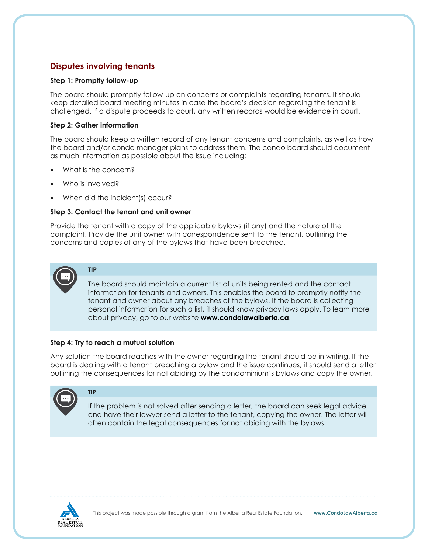# **Disputes involving tenants**

# **Step 1: Promptly follow-up**

The board should promptly follow-up on concerns or complaints regarding tenants. It should keep detailed board meeting minutes in case the board's decision regarding the tenant is challenged. If a dispute proceeds to court, any written records would be evidence in court.

# **Step 2: Gather information**

The board should keep a written record of any tenant concerns and complaints, as well as how the board and/or condo manager plans to address them. The condo board should document as much information as possible about the issue including:

What is the concern?

**TIP**

**TIP**

- Who is involved?
- When did the incident(s) occur?

# **Step 3: Contact the tenant and unit owner**

Provide the tenant with a copy of the applicable bylaws (if any) and the nature of the complaint. Provide the unit owner with correspondence sent to the tenant, outlining the concerns and copies of any of the bylaws that have been breached.



The board should maintain a current list of units being rented and the contact information for tenants and owners. This enables the board to promptly notify the tenant and owner about any breaches of the bylaws. If the board is collecting personal information for such a list, it should know privacy laws apply. To learn more about privacy, go to our website **www.condolawalberta.ca**.

### **Step 4: Try to reach a mutual solution**

Any solution the board reaches with the owner regarding the tenant should be in writing. If the board is dealing with a tenant breaching a bylaw and the issue continues, it should send a letter outlining the consequences for not abiding by the condominium's bylaws and copy the owner.



If the problem is not solved after sending a letter, the board can seek legal advice and have their lawyer send a letter to the tenant, copying the owner. The letter will often contain the legal consequences for not abiding with the bylaws.